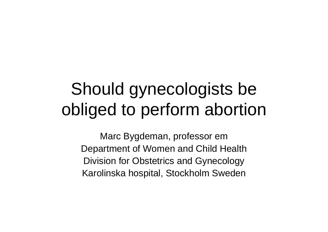# Should gynecologists be obliged to perform abortion

Marc Bygdeman, professor em Department of Women and Child Health Division for Obstetrics and Gynecology Karolinska hospital, Stockholm Sweden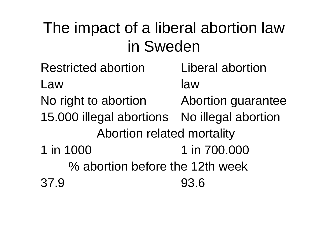#### The impact of a liberal abortion law in Sweden

- Restricted abortion Liberal abortionLaw law No right to abortion Abortion guarantee 15.000 illegal abortions No illegal abortion Abortion related mortality 1 in 1000 1 in 700.000 % abortion before the 12th week 37.9 93.6
-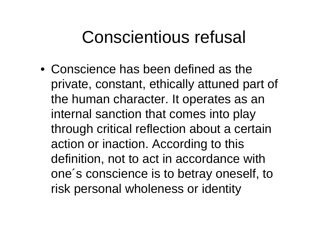#### Conscientious refusal

• Conscience has been defined as the private, constant, ethically attuned part of the human character. It operates as an internal sanction that comes into play through critical reflection about a certain action or inaction. According to this definition, not to act in accordance with one´s conscience is to betray oneself, to risk personal wholeness or identity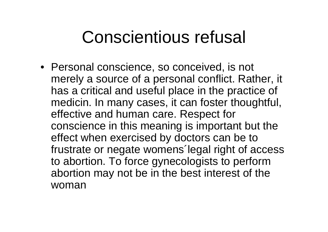## Conscientious refusal

• Personal conscience, so conceived, is not merely a source of a personal conflict. Rather, it has a critical and useful place in the practice of medicin. In many cases, it can foster thoughtful, effective and human care. Respect for conscience in this meaning is important but the effect when exercised by doctors can be to frustrate or negate womens´legal right of access to abortion. To force gynecologists to perform abortion may not be in the best interest of the woman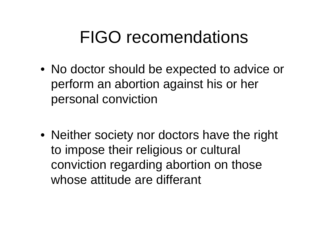# FIGO recomendations

• No doctor should be expected to advice or perform an abortion against his or her personal conviction

• Neither society nor doctors have the right to impose their religious or cultural conviction regarding abortion on those whose attitude are differant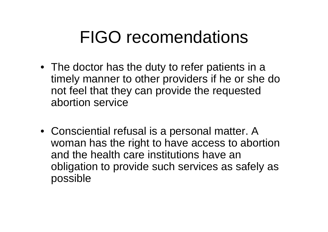# FIGO recomendations

- The doctor has the duty to refer patients in a timely manner to other providers if he or she do not feel that they can provide the requested abortion service
- Consciential refusal is a personal matter. A woman has the right to have access to abortion and the health care institutions have an obligation to provide such services as safely as possible